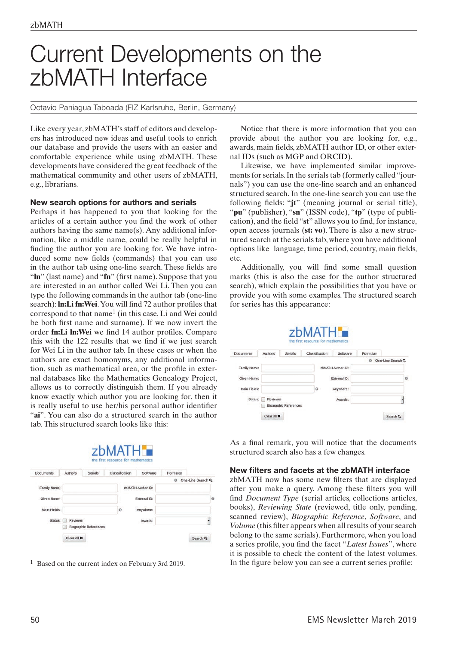# Current Developments on the zbMATH Interface

Octavio Paniagua Taboada (FIZ Karlsruhe, Berlin, Germany)

Like every year, zbMATH's staff of editors and developers has introduced new ideas and useful tools to enrich our database and provide the users with an easier and comfortable experience while using zbMATH. These developments have considered the great feedback of the mathematical community and other users of zbMATH, e.g., librarians.

# **New search options for authors and serials**

Perhaps it has happened to you that looking for the articles of a certain author you find the work of other authors having the same name(s). Any additional information, like a middle name, could be really helpful in finding the author you are looking for. We have introduced some new fields (commands) that you can use in the author tab using one-line search. These fields are "**ln**" (last name) and "**fn**" (first name). Suppose that you are interested in an author called Wei Li. Then you can type the following commands in the author tab (one-line search): **ln:Li fn:Wei**. You will find 72 author profiles that correspond to that name<sup>1</sup> (in this case, Li and Wei could be both first name and surname). If we now invert the order **fn:Li ln:Wei** we find 14 author profiles. Compare this with the 122 results that we find if we just search for Wei Li in the author tab. In these cases or when the authors are exact homonyms, any additional information, such as mathematical area, or the profile in external databases like the Mathematics Genealogy Project, allows us to correctly distinguish them. If you already know exactly which author you are looking for, then it is really useful to use her/his personal author identifier "**ai**". You can also do a structured search in the author tab. This structured search looks like this:



<sup>1</sup> Based on the current index on February 3rd 2019.

Notice that there is more information that you can provide about the author you are looking for, e.g., awards, main fields, zbMATH author ID, or other external IDs (such as MGP and ORCID).

Likewise, we have implemented similar improvements for serials. In the serials tab (formerly called "journals") you can use the one-line search and an enhanced structured search. In the one-line search you can use the following fields: "**jt**" (meaning journal or serial title), "**pu**" (publisher), "**sn**" (ISSN code), "**tp**" (type of publication), and the field "**st**" allows you to find, for instance, open access journals (**st: vo**). There is also a new structured search at the serials tab, where you have additional options like language, time period, country, main fields, etc.

Additionally, you will find some small question marks (this is also the case for the author structured search), which explain the possibilities that you have or provide you with some examples. The structured search for series has this appearance:





As a final remark, you will notice that the documents structured search also has a few changes.

# **New filters and facets at the zbMATH interface**

zbMATH now has some new filters that are displayed after you make a query. Among these filters you will find *Document Type* (serial articles, collections articles, books), *Reviewing State* (reviewed, title only, pending, scanned review), *Biographic Reference*, *Software*, and *Volume* (this filter appears when all results of your search belong to the same serials). Furthermore, when you load a series profile, you find the facet "*Latest Issues*", where it is possible to check the content of the latest volumes. In the figure below you can see a current series profile: